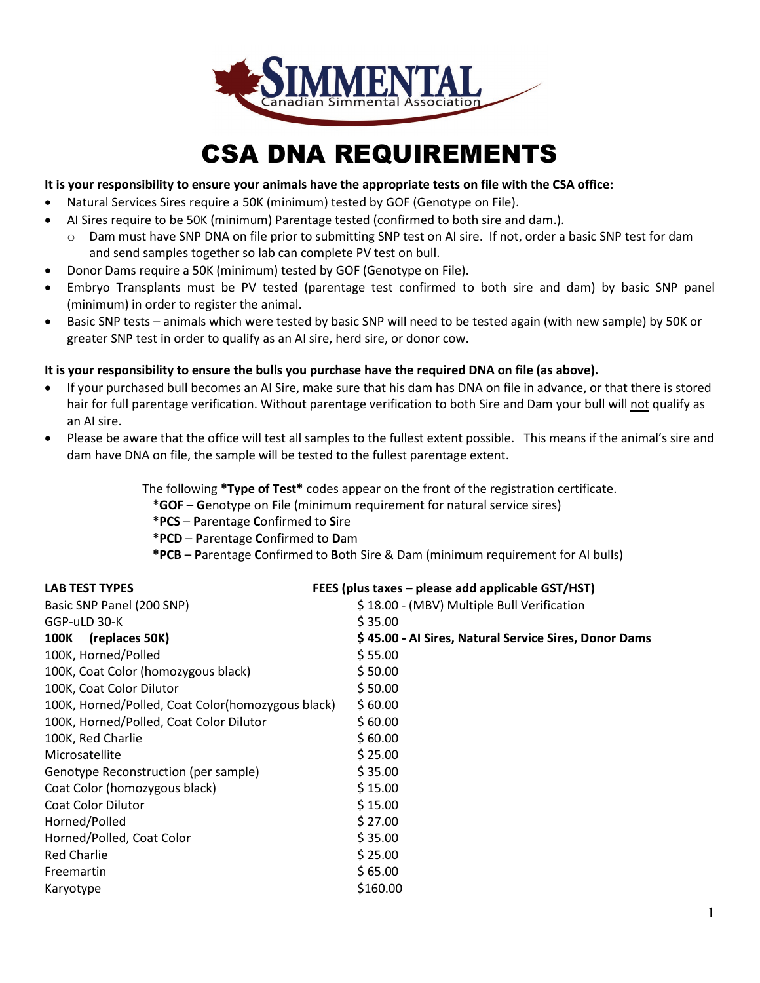

## CSA DNA REQUIREMENTS

### **It is your responsibility to ensure your animals have the appropriate tests on file with the CSA office:**

- Natural Services Sires require a 50K (minimum) tested by GOF (Genotype on File).
- AI Sires require to be 50K (minimum) Parentage tested (confirmed to both sire and dam.).
	- o Dam must have SNP DNA on file prior to submitting SNP test on AI sire. If not, order a basic SNP test for dam and send samples together so lab can complete PV test on bull.
- Donor Dams require a 50K (minimum) tested by GOF (Genotype on File).
- Embryo Transplants must be PV tested (parentage test confirmed to both sire and dam) by basic SNP panel (minimum) in order to register the animal.
- Basic SNP tests animals which were tested by basic SNP will need to be tested again (with new sample) by 50K or greater SNP test in order to qualify as an AI sire, herd sire, or donor cow.

### **It is your responsibility to ensure the bulls you purchase have the required DNA on file (as above).**

- If your purchased bull becomes an AI Sire, make sure that his dam has DNA on file in advance, or that there is stored hair for full parentage verification. Without parentage verification to both Sire and Dam your bull will not qualify as an AI sire.
- Please be aware that the office will test all samples to the fullest extent possible. This means if the animal's sire and dam have DNA on file, the sample will be tested to the fullest parentage extent.

The following **\*Type of Test\*** codes appear on the front of the registration certificate.

\***GOF** – **G**enotype on **F**ile (minimum requirement for natural service sires)

\***PCS** – **P**arentage **C**onfirmed to **S**ire

\***PCD** – **P**arentage **C**onfirmed to **D**am

 **\*PCB** – **P**arentage **C**onfirmed to **B**oth Sire & Dam (minimum requirement for AI bulls)

| <b>LAB TEST TYPES</b>                             | FEES (plus taxes – please add applicable GST/HST)     |  |  |  |
|---------------------------------------------------|-------------------------------------------------------|--|--|--|
| Basic SNP Panel (200 SNP)                         | \$18.00 - (MBV) Multiple Bull Verification            |  |  |  |
| GGP-uLD 30-K                                      | \$35.00                                               |  |  |  |
| <b>100K</b><br>(replaces 50K)                     | \$45.00 - Al Sires, Natural Service Sires, Donor Dams |  |  |  |
| 100K, Horned/Polled                               | \$55.00                                               |  |  |  |
| 100K, Coat Color (homozygous black)               | \$50.00                                               |  |  |  |
| 100K, Coat Color Dilutor                          | \$50.00                                               |  |  |  |
| 100K, Horned/Polled, Coat Color(homozygous black) | \$60.00                                               |  |  |  |
| 100K, Horned/Polled, Coat Color Dilutor           | \$60.00                                               |  |  |  |
| 100K, Red Charlie                                 | \$60.00                                               |  |  |  |
| Microsatellite                                    | \$25.00                                               |  |  |  |
| Genotype Reconstruction (per sample)              | \$35.00                                               |  |  |  |
| Coat Color (homozygous black)                     | \$15.00                                               |  |  |  |
| Coat Color Dilutor                                | \$15.00                                               |  |  |  |
| Horned/Polled                                     | \$27.00                                               |  |  |  |
| Horned/Polled, Coat Color                         | \$35.00                                               |  |  |  |
| <b>Red Charlie</b>                                | \$25.00                                               |  |  |  |
| Freemartin                                        | \$65.00                                               |  |  |  |
| Karyotype                                         | \$160.00                                              |  |  |  |
|                                                   |                                                       |  |  |  |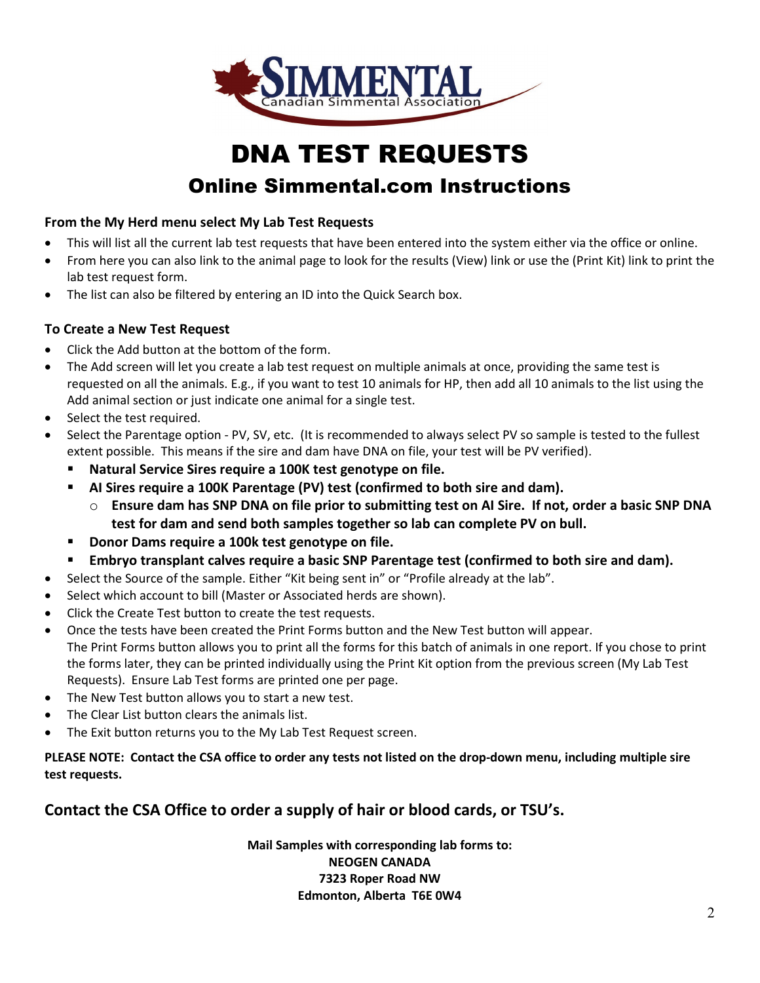

# DNA TEST REQUESTS

### Online Simmental.com Instructions

### **From the My Herd menu select My Lab Test Requests**

- This will list all the current lab test requests that have been entered into the system either via the office or online.
- From here you can also link to the animal page to look for the results (View) link or use the (Print Kit) link to print the lab test request form.
- The list can also be filtered by entering an ID into the Quick Search box.

### **To Create a New Test Request**

- Click the Add button at the bottom of the form.
- The Add screen will let you create a lab test request on multiple animals at once, providing the same test is requested on all the animals. E.g., if you want to test 10 animals for HP, then add all 10 animals to the list using the Add animal section or just indicate one animal for a single test.
- Select the test required.
- Select the Parentage option PV, SV, etc. (It is recommended to always select PV so sample is tested to the fullest extent possible. This means if the sire and dam have DNA on file, your test will be PV verified).
	- **Natural Service Sires require a 100K test genotype on file.**
	- **AI Sires require a 100K Parentage (PV) test (confirmed to both sire and dam).**
		- o **Ensure dam has SNP DNA on file prior to submitting test on AI Sire. If not, order a basic SNP DNA test for dam and send both samples together so lab can complete PV on bull.**
	- **Donor Dams require a 100k test genotype on file.**
	- **Embryo transplant calves require a basic SNP Parentage test (confirmed to both sire and dam).**
- Select the Source of the sample. Either "Kit being sent in" or "Profile already at the lab".
- Select which account to bill (Master or Associated herds are shown).
- Click the Create Test button to create the test requests.
- Once the tests have been created the Print Forms button and the New Test button will appear. The Print Forms button allows you to print all the forms for this batch of animals in one report. If you chose to print the forms later, they can be printed individually using the Print Kit option from the previous screen (My Lab Test Requests). Ensure Lab Test forms are printed one per page.
- The New Test button allows you to start a new test.
- The Clear List button clears the animals list.
- The Exit button returns you to the My Lab Test Request screen.

**PLEASE NOTE: Contact the CSA office to order any tests not listed on the drop-down menu, including multiple sire test requests.**

### **Contact the CSA Office to order a supply of hair or blood cards, or TSU's.**

**Mail Samples with corresponding lab forms to: NEOGEN CANADA 7323 Roper Road NW Edmonton, Alberta T6E 0W4**